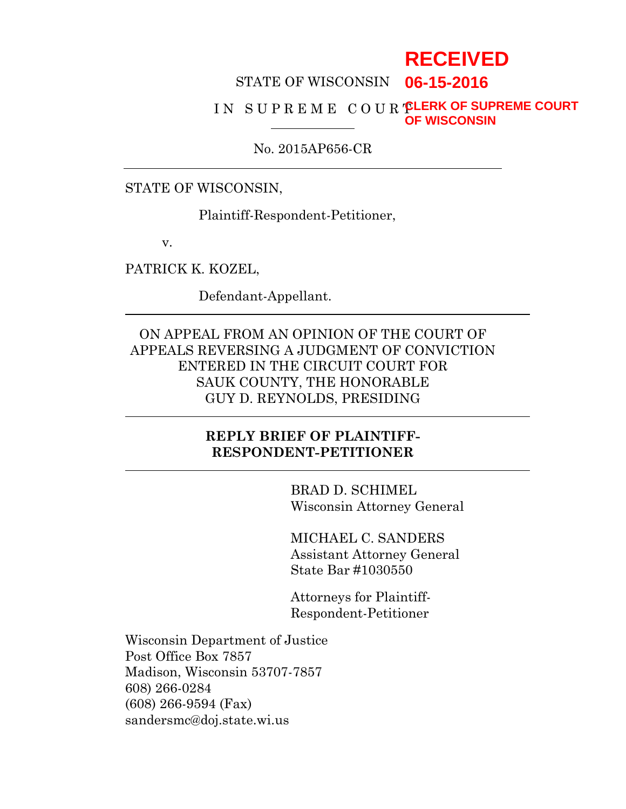# **RECEIVED**

#### STATE OF WISCONSIN **06-15-2016**

#### I N S U P R E M E C O U R T **CLERK OF SUPREME COURT OF WISCONSIN**

### No. 2015AP656-CR

### STATE OF WISCONSIN,

Plaintiff-Respondent-Petitioner,

v.

PATRICK K. KOZEL,

Defendant-Appellant.

ON APPEAL FROM AN OPINION OF THE COURT OF APPEALS REVERSING A JUDGMENT OF CONVICTION ENTERED IN THE CIRCUIT COURT FOR SAUK COUNTY, THE HONORABLE GUY D. REYNOLDS, PRESIDING

### **REPLY BRIEF OF PLAINTIFF-RESPONDENT-PETITIONER**

BRAD D. SCHIMEL Wisconsin Attorney General

MICHAEL C. SANDERS Assistant Attorney General State Bar #1030550

Attorneys for Plaintiff-Respondent-Petitioner

Wisconsin Department of Justice Post Office Box 7857 Madison, Wisconsin 53707-7857 608) 266-0284 (608) 266-9594 (Fax) sandersmc@doj.state.wi.us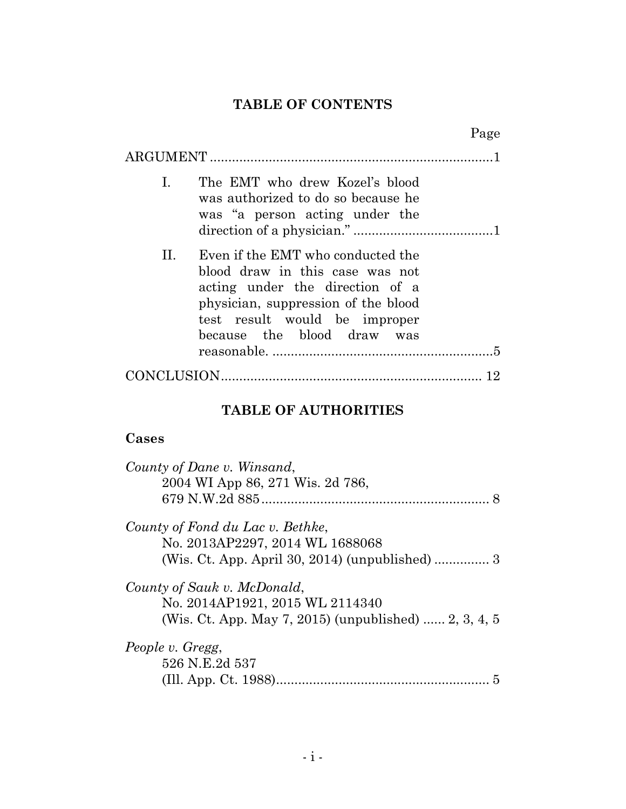# **TABLE OF CONTENTS**

|                                                                                                                                                                                                                     | Page |
|---------------------------------------------------------------------------------------------------------------------------------------------------------------------------------------------------------------------|------|
|                                                                                                                                                                                                                     |      |
| $\mathbf{I}$ .<br>The EMT who drew Kozel's blood<br>was authorized to do so because he<br>was "a person acting under the                                                                                            |      |
| Even if the EMT who conducted the<br>Н.<br>blood draw in this case was not<br>acting under the direction of a<br>physician, suppression of the blood<br>test result would be improper<br>because the blood draw was |      |
|                                                                                                                                                                                                                     |      |

# **TABLE OF AUTHORITIES**

## **Cases**

| County of Dane v. Winsand,                                                               |
|------------------------------------------------------------------------------------------|
| 2004 WI App 86, 271 Wis. 2d 786,                                                         |
|                                                                                          |
| County of Fond du Lac v. Bethke,<br>No. 2013AP2297, 2014 WL 1688068                      |
|                                                                                          |
| County of Sauk v. McDonald,                                                              |
| No. 2014AP1921, 2015 WL 2114340<br>(Wis. Ct. App. May 7, 2015) (unpublished)  2, 3, 4, 5 |
| People v. Gregg,                                                                         |
| 526 N.E.2d 537                                                                           |
|                                                                                          |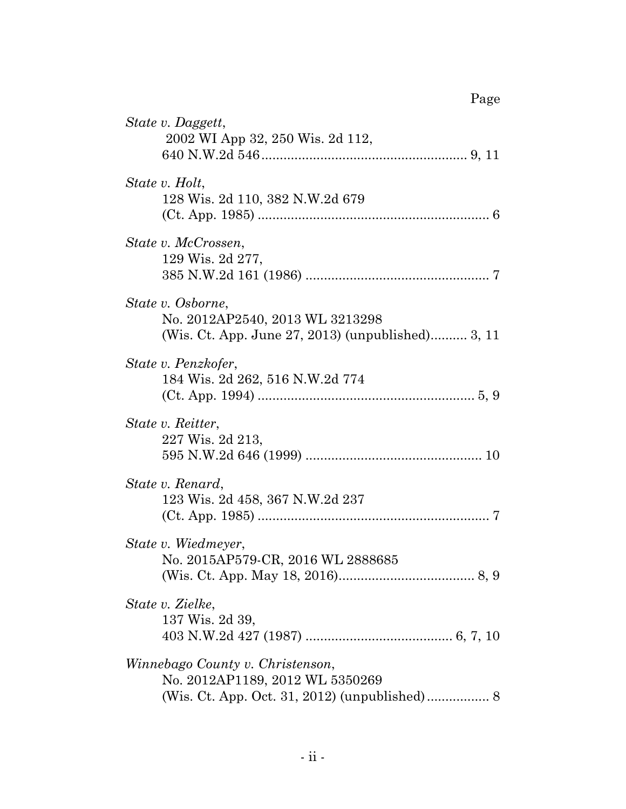| State v. Daggett,<br>2002 WI App 32, 250 Wis. 2d 112,                                                     |
|-----------------------------------------------------------------------------------------------------------|
| State v. Holt,<br>128 Wis. 2d 110, 382 N.W.2d 679                                                         |
| State v. McCrossen,<br>129 Wis. 2d 277,                                                                   |
| State v. Osborne,<br>No. 2012AP2540, 2013 WL 3213298<br>(Wis. Ct. App. June 27, 2013) (unpublished) 3, 11 |
| State v. Penzkofer,<br>184 Wis. 2d 262, 516 N.W.2d 774                                                    |
| State v. Reitter,<br>227 Wis. 2d 213,                                                                     |
| State v. Renard,<br>123 Wis. 2d 458, 367 N.W.2d 237                                                       |
| State v. Wiedmeyer,<br>No. 2015AP579-CR, 2016 WL 2888685                                                  |
| State v. Zielke,<br>137 Wis. 2d 39,                                                                       |
| Winnebago County v. Christenson,<br>No. 2012AP1189, 2012 WL 5350269                                       |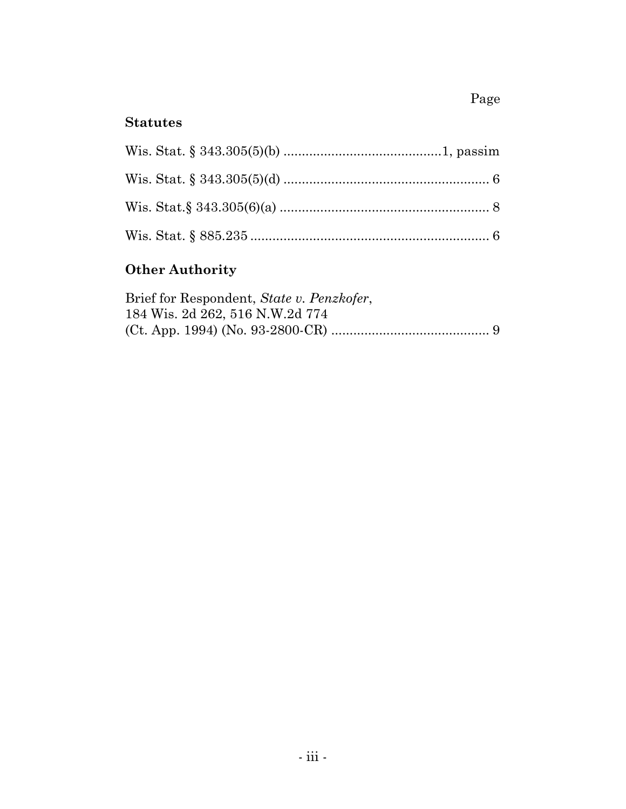# Page

# **Statutes**

# **Other Authority**

| Brief for Respondent, State v. Penzkofer, |  |
|-------------------------------------------|--|
| 184 Wis. 2d 262, 516 N.W.2d 774           |  |
|                                           |  |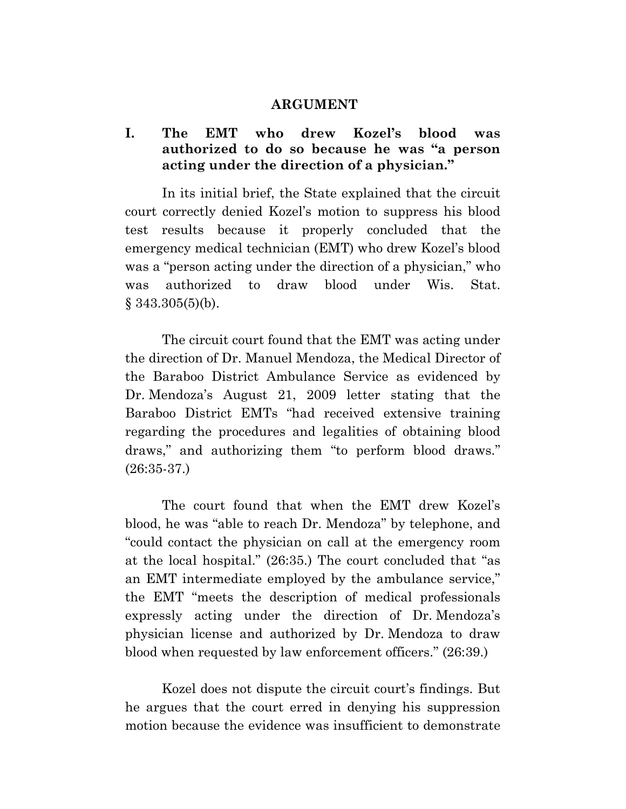### **ARGUMENT**

### **I. The EMT who drew Kozel's blood was authorized to do so because he was "a person acting under the direction of a physician."**

In its initial brief, the State explained that the circuit court correctly denied Kozel's motion to suppress his blood test results because it properly concluded that the emergency medical technician (EMT) who drew Kozel's blood was a "person acting under the direction of a physician," who was authorized to draw blood under Wis. Stat.  $§$  343.305(5)(b).

The circuit court found that the EMT was acting under the direction of Dr. Manuel Mendoza, the Medical Director of the Baraboo District Ambulance Service as evidenced by Dr. Mendoza's August 21, 2009 letter stating that the Baraboo District EMTs "had received extensive training regarding the procedures and legalities of obtaining blood draws," and authorizing them "to perform blood draws." (26:35-37.)

The court found that when the EMT drew Kozel's blood, he was "able to reach Dr. Mendoza" by telephone, and "could contact the physician on call at the emergency room at the local hospital." (26:35.) The court concluded that "as an EMT intermediate employed by the ambulance service," the EMT "meets the description of medical professionals expressly acting under the direction of Dr. Mendoza's physician license and authorized by Dr. Mendoza to draw blood when requested by law enforcement officers." (26:39.)

Kozel does not dispute the circuit court's findings. But he argues that the court erred in denying his suppression motion because the evidence was insufficient to demonstrate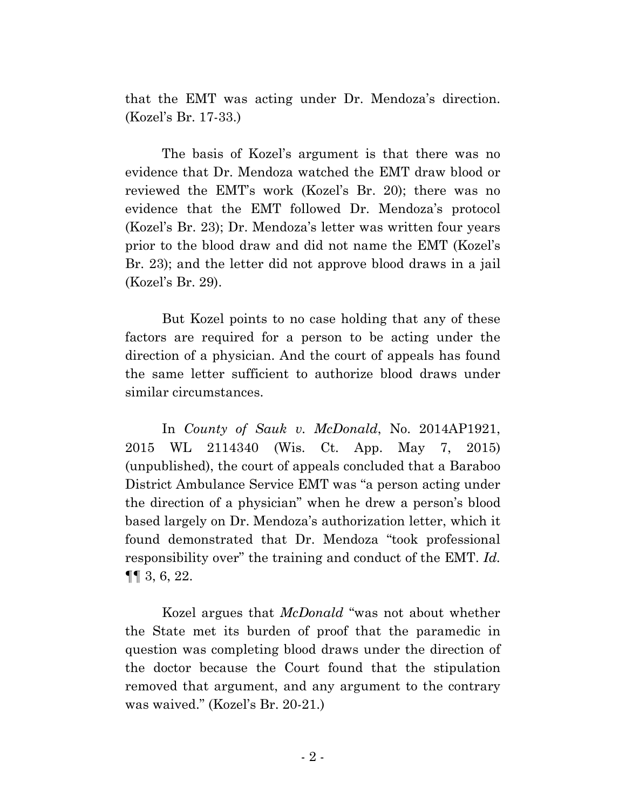that the EMT was acting under Dr. Mendoza's direction. (Kozel's Br. 17-33.)

The basis of Kozel's argument is that there was no evidence that Dr. Mendoza watched the EMT draw blood or reviewed the EMT's work (Kozel's Br. 20); there was no evidence that the EMT followed Dr. Mendoza's protocol (Kozel's Br. 23); Dr. Mendoza's letter was written four years prior to the blood draw and did not name the EMT (Kozel's Br. 23); and the letter did not approve blood draws in a jail (Kozel's Br. 29).

But Kozel points to no case holding that any of these factors are required for a person to be acting under the direction of a physician. And the court of appeals has found the same letter sufficient to authorize blood draws under similar circumstances.

In *County of Sauk v. McDonald*, No. 2014AP1921, 2015 WL 2114340 (Wis. Ct. App. May 7, 2015) (unpublished), the court of appeals concluded that a Baraboo District Ambulance Service EMT was "a person acting under the direction of a physician" when he drew a person's blood based largely on Dr. Mendoza's authorization letter, which it found demonstrated that Dr. Mendoza "took professional responsibility over" the training and conduct of the EMT. *Id.* ¶¶ 3, 6, 22.

Kozel argues that *McDonald* "was not about whether the State met its burden of proof that the paramedic in question was completing blood draws under the direction of the doctor because the Court found that the stipulation removed that argument, and any argument to the contrary was waived." (Kozel's Br. 20-21.)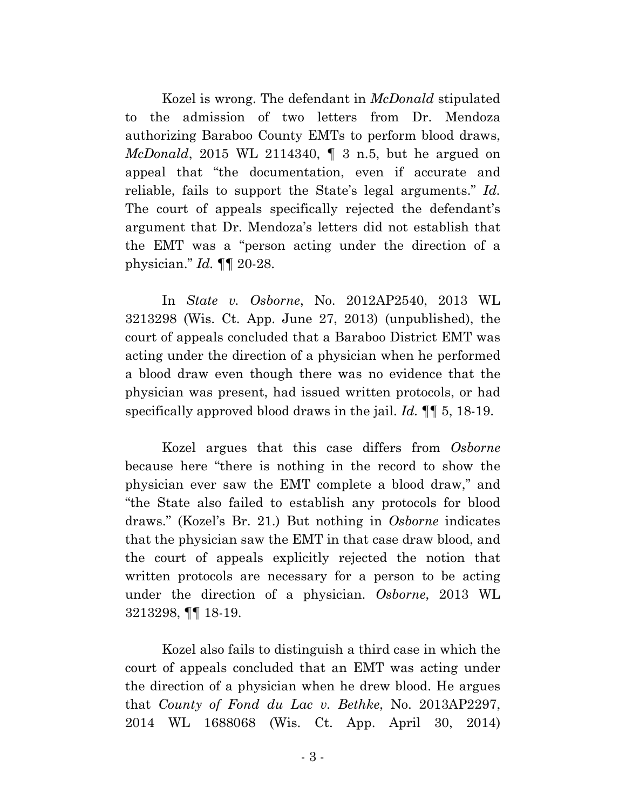Kozel is wrong. The defendant in *McDonald* stipulated to the admission of two letters from Dr. Mendoza authorizing Baraboo County EMTs to perform blood draws, *McDonald*, 2015 WL 2114340, ¶ 3 n.5, but he argued on appeal that "the documentation, even if accurate and reliable, fails to support the State's legal arguments." *Id.* The court of appeals specifically rejected the defendant's argument that Dr. Mendoza's letters did not establish that the EMT was a "person acting under the direction of a physician." *Id.* ¶¶ 20-28.

In *State v. Osborne*, No. 2012AP2540, 2013 WL 3213298 (Wis. Ct. App. June 27, 2013) (unpublished), the court of appeals concluded that a Baraboo District EMT was acting under the direction of a physician when he performed a blood draw even though there was no evidence that the physician was present, had issued written protocols, or had specifically approved blood draws in the jail. *Id.* ¶¶ 5, 18-19.

Kozel argues that this case differs from *Osborne* because here "there is nothing in the record to show the physician ever saw the EMT complete a blood draw," and "the State also failed to establish any protocols for blood draws." (Kozel's Br. 21.) But nothing in *Osborne* indicates that the physician saw the EMT in that case draw blood, and the court of appeals explicitly rejected the notion that written protocols are necessary for a person to be acting under the direction of a physician. *Osborne*, 2013 WL 3213298, ¶¶ 18-19.

Kozel also fails to distinguish a third case in which the court of appeals concluded that an EMT was acting under the direction of a physician when he drew blood. He argues that *County of Fond du Lac v. Bethke*, No. 2013AP2297, 2014 WL 1688068 (Wis. Ct. App. April 30, 2014)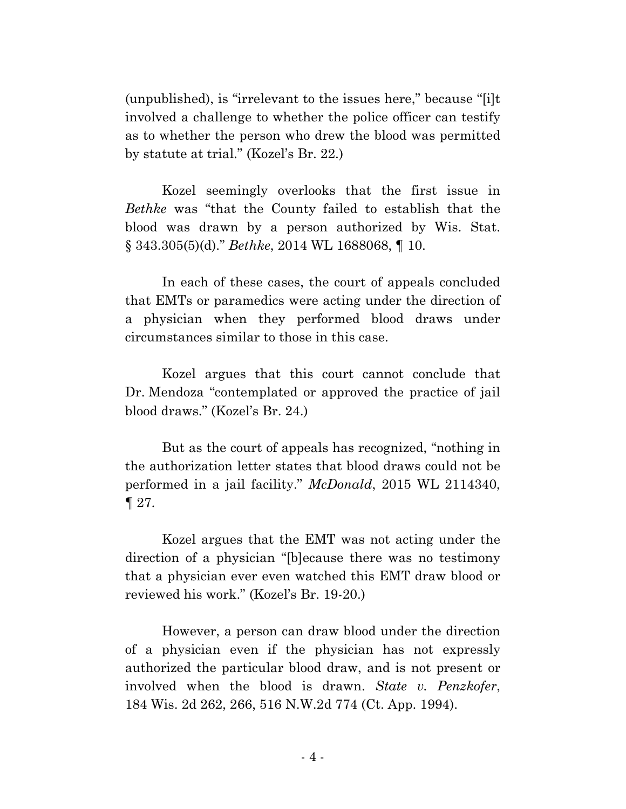(unpublished), is "irrelevant to the issues here," because "[i]t involved a challenge to whether the police officer can testify as to whether the person who drew the blood was permitted by statute at trial." (Kozel's Br. 22.)

Kozel seemingly overlooks that the first issue in *Bethke* was "that the County failed to establish that the blood was drawn by a person authorized by Wis. Stat. § 343.305(5)(d)." *Bethke*, 2014 WL 1688068, ¶ 10.

In each of these cases, the court of appeals concluded that EMTs or paramedics were acting under the direction of a physician when they performed blood draws under circumstances similar to those in this case.

Kozel argues that this court cannot conclude that Dr. Mendoza "contemplated or approved the practice of jail blood draws." (Kozel's Br. 24.)

But as the court of appeals has recognized, "nothing in the authorization letter states that blood draws could not be performed in a jail facility." *McDonald*, 2015 WL 2114340, ¶ 27.

Kozel argues that the EMT was not acting under the direction of a physician "[b]ecause there was no testimony that a physician ever even watched this EMT draw blood or reviewed his work." (Kozel's Br. 19-20.)

However, a person can draw blood under the direction of a physician even if the physician has not expressly authorized the particular blood draw, and is not present or involved when the blood is drawn. *State v. Penzkofer*, 184 Wis. 2d 262, 266, 516 N.W.2d 774 (Ct. App. 1994).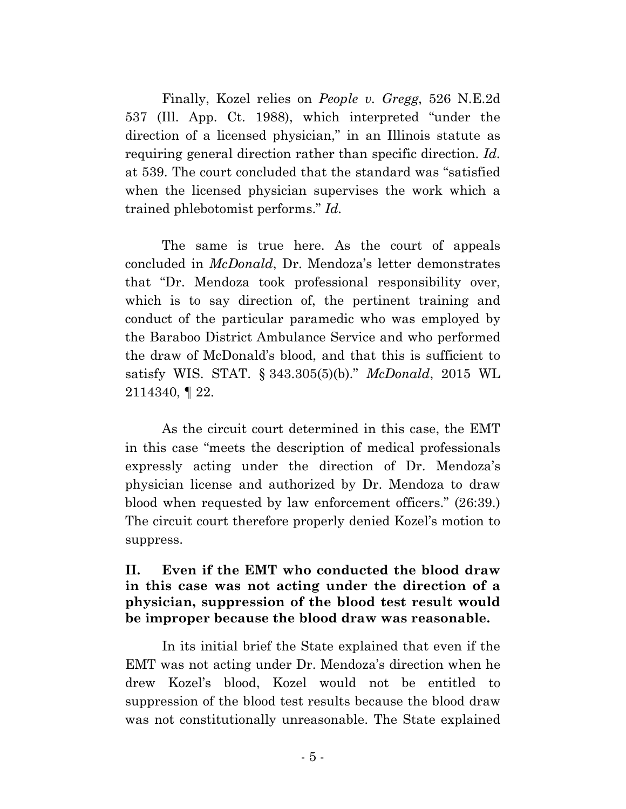Finally, Kozel relies on *People v. Gregg*, 526 N.E.2d 537 (Ill. App. Ct. 1988), which interpreted "under the direction of a licensed physician," in an Illinois statute as requiring general direction rather than specific direction. *Id.* at 539. The court concluded that the standard was "satisfied when the licensed physician supervises the work which a trained phlebotomist performs." *Id.*

The same is true here. As the court of appeals concluded in *McDonald*, Dr. Mendoza's letter demonstrates that "Dr. Mendoza took professional responsibility over, which is to say direction of, the pertinent training and conduct of the particular paramedic who was employed by the Baraboo District Ambulance Service and who performed the draw of McDonald's blood, and that this is sufficient to satisfy WIS. STAT. § 343.305(5)(b)." *McDonald*, 2015 WL 2114340, ¶ 22.

As the circuit court determined in this case, the EMT in this case "meets the description of medical professionals expressly acting under the direction of Dr. Mendoza's physician license and authorized by Dr. Mendoza to draw blood when requested by law enforcement officers." (26:39.) The circuit court therefore properly denied Kozel's motion to suppress.

### **II. Even if the EMT who conducted the blood draw in this case was not acting under the direction of a physician, suppression of the blood test result would be improper because the blood draw was reasonable.**

In its initial brief the State explained that even if the EMT was not acting under Dr. Mendoza's direction when he drew Kozel's blood, Kozel would not be entitled to suppression of the blood test results because the blood draw was not constitutionally unreasonable. The State explained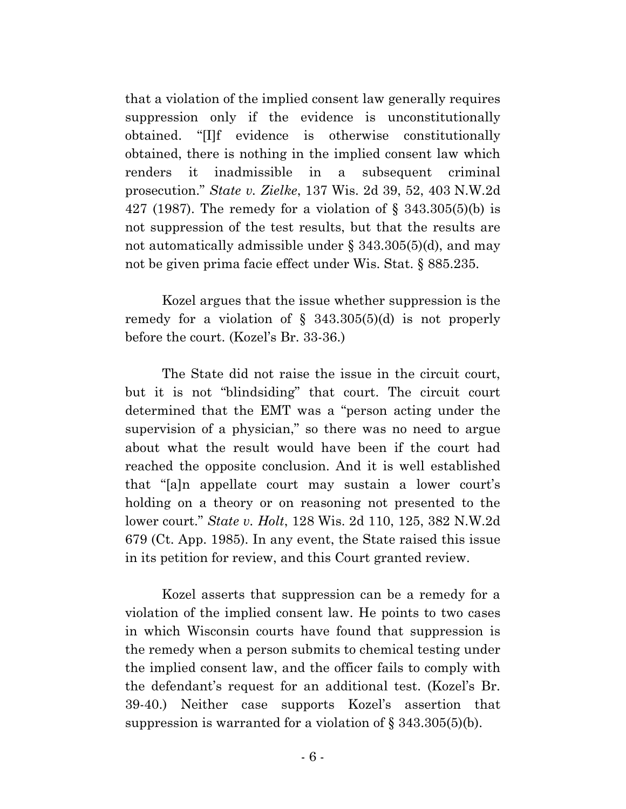that a violation of the implied consent law generally requires suppression only if the evidence is unconstitutionally obtained. "[I]f evidence is otherwise constitutionally obtained, there is nothing in the implied consent law which renders it inadmissible in a subsequent criminal prosecution." *State v. Zielke*, 137 Wis. 2d 39, 52, 403 N.W.2d 427 (1987). The remedy for a violation of § 343.305(5)(b) is not suppression of the test results, but that the results are not automatically admissible under § 343.305(5)(d), and may not be given prima facie effect under Wis. Stat. § 885.235.

Kozel argues that the issue whether suppression is the remedy for a violation of  $\S$  343.305(5)(d) is not properly before the court. (Kozel's Br. 33-36.)

The State did not raise the issue in the circuit court, but it is not "blindsiding" that court. The circuit court determined that the EMT was a "person acting under the supervision of a physician," so there was no need to argue about what the result would have been if the court had reached the opposite conclusion. And it is well established that "[a]n appellate court may sustain a lower court's holding on a theory or on reasoning not presented to the lower court." *State v. Holt*, 128 Wis. 2d 110, 125, 382 N.W.2d 679 (Ct. App. 1985). In any event, the State raised this issue in its petition for review, and this Court granted review.

Kozel asserts that suppression can be a remedy for a violation of the implied consent law. He points to two cases in which Wisconsin courts have found that suppression is the remedy when a person submits to chemical testing under the implied consent law, and the officer fails to comply with the defendant's request for an additional test. (Kozel's Br. 39-40.) Neither case supports Kozel's assertion that suppression is warranted for a violation of  $\S 343.305(5)(b)$ .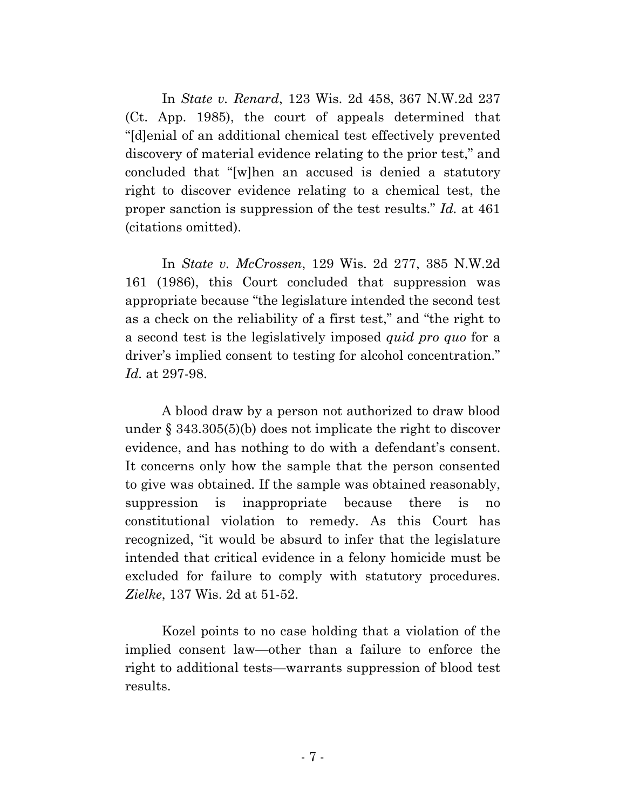In *State v. Renard*, 123 Wis. 2d 458, 367 N.W.2d 237 (Ct. App. 1985), the court of appeals determined that "[d]enial of an additional chemical test effectively prevented discovery of material evidence relating to the prior test," and concluded that "[w]hen an accused is denied a statutory right to discover evidence relating to a chemical test, the proper sanction is suppression of the test results." *Id.* at 461 (citations omitted).

In *State v. McCrossen*, 129 Wis. 2d 277, 385 N.W.2d 161 (1986), this Court concluded that suppression was appropriate because "the legislature intended the second test as a check on the reliability of a first test," and "the right to a second test is the legislatively imposed *quid pro quo* for a driver's implied consent to testing for alcohol concentration." *Id.* at 297-98.

A blood draw by a person not authorized to draw blood under § 343.305(5)(b) does not implicate the right to discover evidence, and has nothing to do with a defendant's consent. It concerns only how the sample that the person consented to give was obtained. If the sample was obtained reasonably, suppression is inappropriate because there is no constitutional violation to remedy. As this Court has recognized, "it would be absurd to infer that the legislature intended that critical evidence in a felony homicide must be excluded for failure to comply with statutory procedures. *Zielke*, 137 Wis. 2d at 51-52.

Kozel points to no case holding that a violation of the implied consent law—other than a failure to enforce the right to additional tests—warrants suppression of blood test results.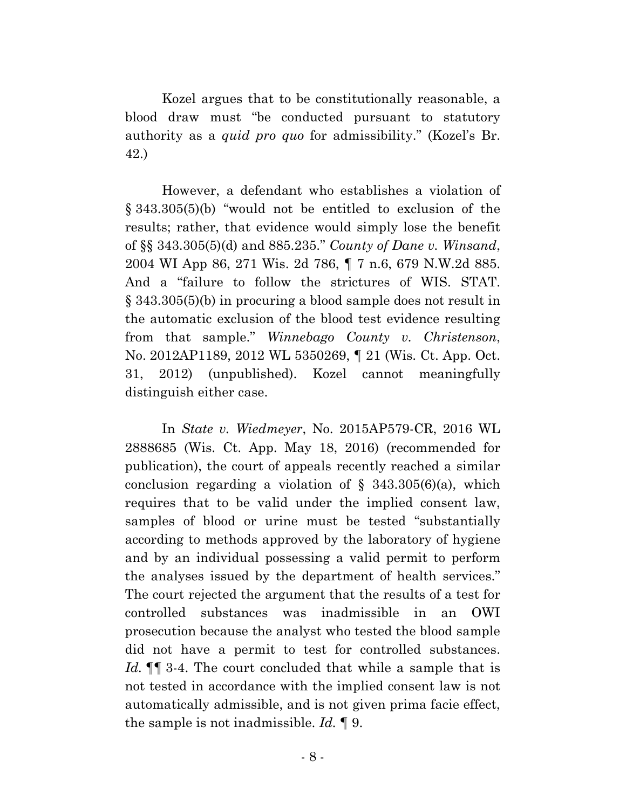Kozel argues that to be constitutionally reasonable, a blood draw must "be conducted pursuant to statutory authority as a *quid pro quo* for admissibility." (Kozel's Br. 42.)

However, a defendant who establishes a violation of § 343.305(5)(b) "would not be entitled to exclusion of the results; rather, that evidence would simply lose the benefit of §§ 343.305(5)(d) and 885.235." *County of Dane v. Winsand*, 2004 WI App 86, 271 Wis. 2d 786, ¶ 7 n.6, 679 N.W.2d 885. And a "failure to follow the strictures of WIS. STAT. § 343.305(5)(b) in procuring a blood sample does not result in the automatic exclusion of the blood test evidence resulting from that sample." *Winnebago County v. Christenson*, No. 2012AP1189, 2012 WL 5350269, ¶ 21 (Wis. Ct. App. Oct. 31, 2012) (unpublished). Kozel cannot meaningfully distinguish either case.

In *State v. Wiedmeyer*, No. 2015AP579-CR, 2016 WL 2888685 (Wis. Ct. App. May 18, 2016) (recommended for publication), the court of appeals recently reached a similar conclusion regarding a violation of  $\S$  343.305(6)(a), which requires that to be valid under the implied consent law, samples of blood or urine must be tested "substantially according to methods approved by the laboratory of hygiene and by an individual possessing a valid permit to perform the analyses issued by the department of health services." The court rejected the argument that the results of a test for controlled substances was inadmissible in an OWI prosecution because the analyst who tested the blood sample did not have a permit to test for controlled substances. *Id.* ¶¶ 3-4. The court concluded that while a sample that is not tested in accordance with the implied consent law is not automatically admissible, and is not given prima facie effect, the sample is not inadmissible. *Id.* ¶ 9.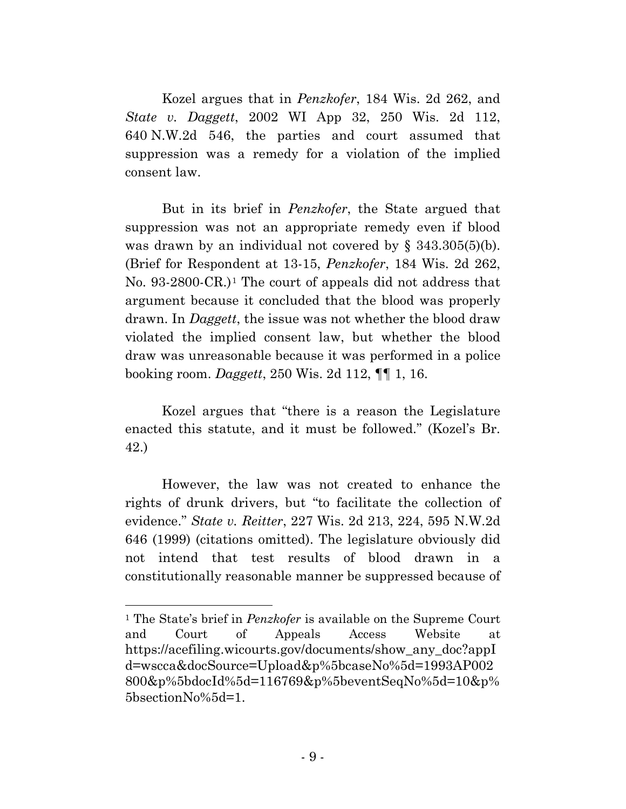Kozel argues that in *Penzkofer*, 184 Wis. 2d 262, and *State v. Daggett*, 2002 WI App 32, 250 Wis. 2d 112, 640 N.W.2d 546, the parties and court assumed that suppression was a remedy for a violation of the implied consent law.

But in its brief in *Penzkofer*, the State argued that suppression was not an appropriate remedy even if blood was drawn by an individual not covered by § 343.305(5)(b). (Brief for Respondent at 13-15, *Penzkofer*, 184 Wis. 2d 262, No. 93-2800-CR.)[1](#page-12-0) The court of appeals did not address that argument because it concluded that the blood was properly drawn. In *Daggett*, the issue was not whether the blood draw violated the implied consent law, but whether the blood draw was unreasonable because it was performed in a police booking room. *Daggett*, 250 Wis. 2d 112, ¶¶ 1, 16.

Kozel argues that "there is a reason the Legislature enacted this statute, and it must be followed." (Kozel's Br. 42.)

However, the law was not created to enhance the rights of drunk drivers, but "to facilitate the collection of evidence." *State v. Reitter*, 227 Wis. 2d 213, 224, 595 N.W.2d 646 (1999) (citations omitted). The legislature obviously did not intend that test results of blood drawn in a constitutionally reasonable manner be suppressed because of

l

<span id="page-12-0"></span><sup>1</sup> The State's brief in *Penzkofer* is available on the Supreme Court and Court of Appeals Access Website at https://acefiling.wicourts.gov/documents/show\_any\_doc?appI d=wscca&docSource=Upload&p%5bcaseNo%5d=1993AP002 800&p%5bdocId%5d=116769&p%5beventSeqNo%5d=10&p% 5bsectionNo%5d=1.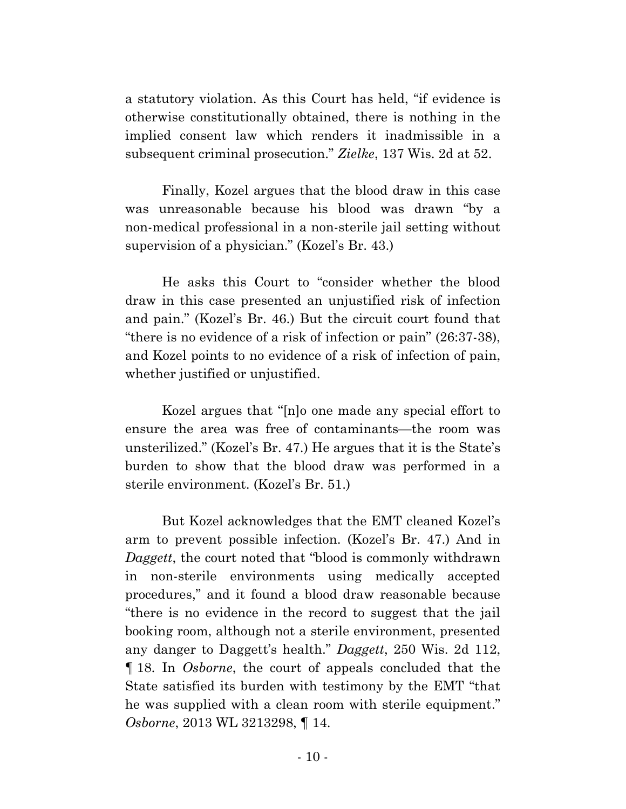a statutory violation. As this Court has held, "if evidence is otherwise constitutionally obtained, there is nothing in the implied consent law which renders it inadmissible in a subsequent criminal prosecution." *Zielke*, 137 Wis. 2d at 52.

Finally, Kozel argues that the blood draw in this case was unreasonable because his blood was drawn "by a non-medical professional in a non-sterile jail setting without supervision of a physician." (Kozel's Br. 43.)

He asks this Court to "consider whether the blood draw in this case presented an unjustified risk of infection and pain." (Kozel's Br. 46.) But the circuit court found that "there is no evidence of a risk of infection or pain" (26:37-38), and Kozel points to no evidence of a risk of infection of pain, whether justified or unjustified.

Kozel argues that "[n]o one made any special effort to ensure the area was free of contaminants—the room was unsterilized." (Kozel's Br. 47.) He argues that it is the State's burden to show that the blood draw was performed in a sterile environment. (Kozel's Br. 51.)

But Kozel acknowledges that the EMT cleaned Kozel's arm to prevent possible infection. (Kozel's Br. 47.) And in *Daggett*, the court noted that "blood is commonly withdrawn in non-sterile environments using medically accepted procedures," and it found a blood draw reasonable because "there is no evidence in the record to suggest that the jail booking room, although not a sterile environment, presented any danger to Daggett's health." *Daggett*, 250 Wis. 2d 112, ¶ 18. In *Osborne*, the court of appeals concluded that the State satisfied its burden with testimony by the EMT "that he was supplied with a clean room with sterile equipment." *Osborne*, 2013 WL 3213298, ¶ 14.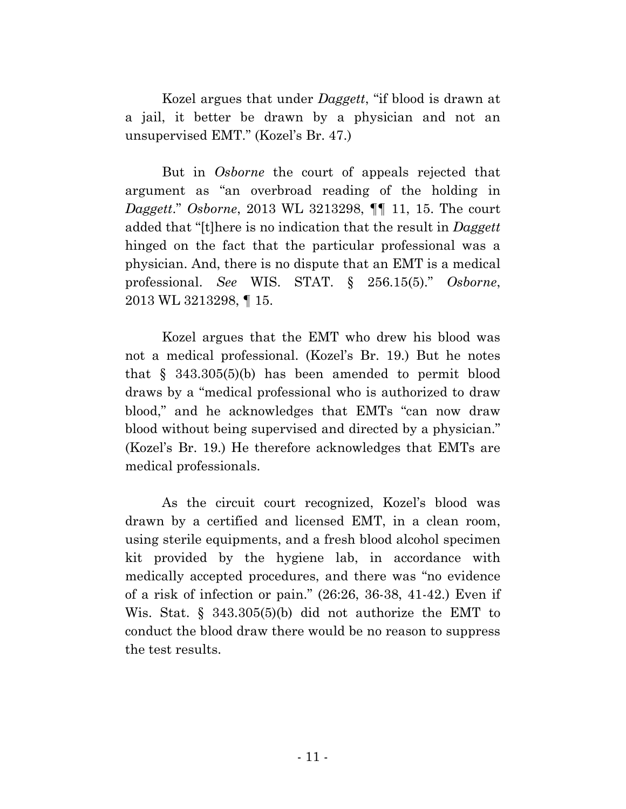Kozel argues that under *Daggett*, "if blood is drawn at a jail, it better be drawn by a physician and not an unsupervised EMT." (Kozel's Br. 47.)

But in *Osborne* the court of appeals rejected that argument as "an overbroad reading of the holding in *Daggett*." *Osborne*, 2013 WL 3213298, ¶¶ 11, 15. The court added that "[t]here is no indication that the result in *Daggett* hinged on the fact that the particular professional was a physician. And, there is no dispute that an EMT is a medical professional. *See* WIS. STAT. § 256.15(5)." *Osborne*, 2013 WL 3213298, ¶ 15.

Kozel argues that the EMT who drew his blood was not a medical professional. (Kozel's Br. 19.) But he notes that § 343.305(5)(b) has been amended to permit blood draws by a "medical professional who is authorized to draw blood," and he acknowledges that EMTs "can now draw blood without being supervised and directed by a physician." (Kozel's Br. 19.) He therefore acknowledges that EMTs are medical professionals.

As the circuit court recognized, Kozel's blood was drawn by a certified and licensed EMT, in a clean room, using sterile equipments, and a fresh blood alcohol specimen kit provided by the hygiene lab, in accordance with medically accepted procedures, and there was "no evidence of a risk of infection or pain." (26:26, 36-38, 41-42.) Even if Wis. Stat. § 343.305(5)(b) did not authorize the EMT to conduct the blood draw there would be no reason to suppress the test results.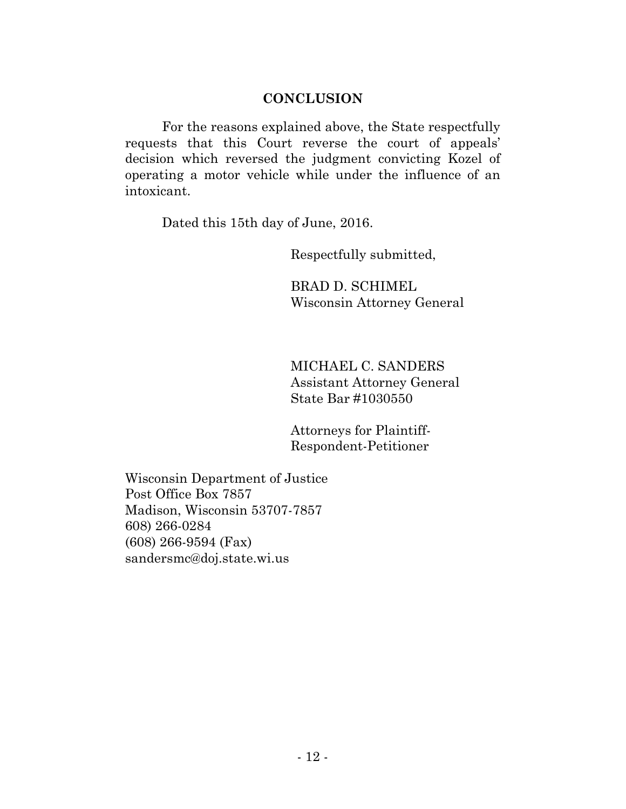### **CONCLUSION**

For the reasons explained above, the State respectfully requests that this Court reverse the court of appeals' decision which reversed the judgment convicting Kozel of operating a motor vehicle while under the influence of an intoxicant.

Dated this 15th day of June, 2016.

Respectfully submitted,

BRAD D. SCHIMEL Wisconsin Attorney General

MICHAEL C. SANDERS Assistant Attorney General State Bar #1030550

Attorneys for Plaintiff-Respondent-Petitioner

Wisconsin Department of Justice Post Office Box 7857 Madison, Wisconsin 53707-7857 608) 266-0284 (608) 266-9594 (Fax) sandersmc@doj.state.wi.us